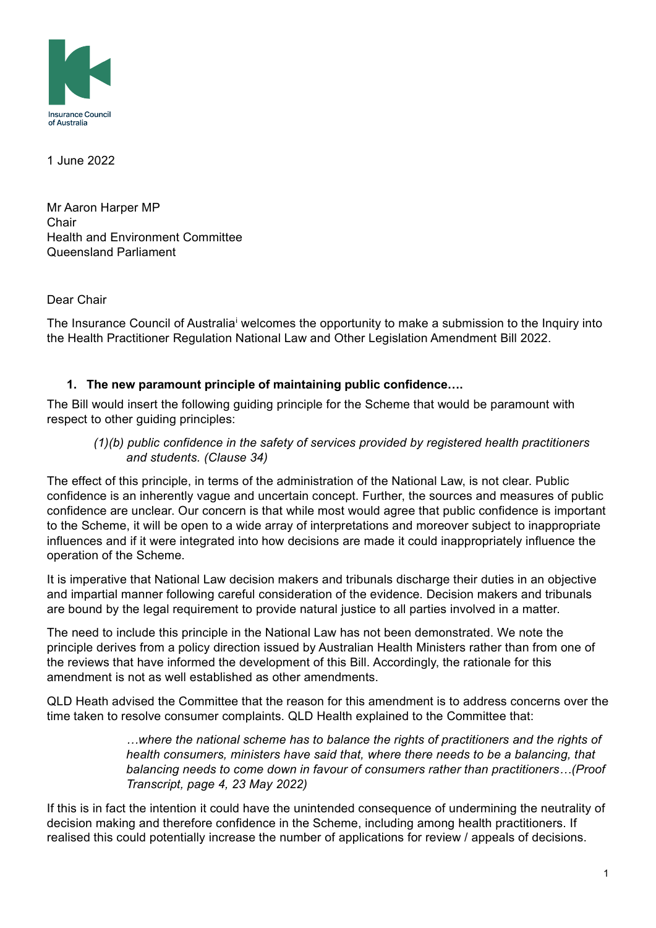

1 June 2022

Mr Aaron Harper MP **Chair** Health and Environment Committee Queensland Parliament

Dear Chair

The Insurance Counc[i](#page-2-0)l of Australia<sup>i</sup> welcomes the opportunity to make a submission to the Inquiry into the Health Practitioner Regulation National Law and Other Legislation Amendment Bill 2022.

## **1. The new paramount principle of maintaining public confidence….**

The Bill would insert the following guiding principle for the Scheme that would be paramount with respect to other guiding principles:

## *(1)(b) public confidence in the safety of services provided by registered health practitioners and students. (Clause 34)*

The effect of this principle, in terms of the administration of the National Law, is not clear. Public confidence is an inherently vague and uncertain concept. Further, the sources and measures of public confidence are unclear. Our concern is that while most would agree that public confidence is important to the Scheme, it will be open to a wide array of interpretations and moreover subject to inappropriate influences and if it were integrated into how decisions are made it could inappropriately influence the operation of the Scheme.

It is imperative that National Law decision makers and tribunals discharge their duties in an objective and impartial manner following careful consideration of the evidence. Decision makers and tribunals are bound by the legal requirement to provide natural justice to all parties involved in a matter.

The need to include this principle in the National Law has not been demonstrated. We note the principle derives from a policy direction issued by Australian Health Ministers rather than from one of the reviews that have informed the development of this Bill. Accordingly, the rationale for this amendment is not as well established as other amendments.

QLD Heath advised the Committee that the reason for this amendment is to address concerns over the time taken to resolve consumer complaints. QLD Health explained to the Committee that:

> *…where the national scheme has to balance the rights of practitioners and the rights of health consumers, ministers have said that, where there needs to be a balancing, that balancing needs to come down in favour of consumers rather than practitioners…(Proof Transcript, page 4, 23 May 2022)*

If this is in fact the intention it could have the unintended consequence of undermining the neutrality of decision making and therefore confidence in the Scheme, including among health practitioners. If realised this could potentially increase the number of applications for review / appeals of decisions.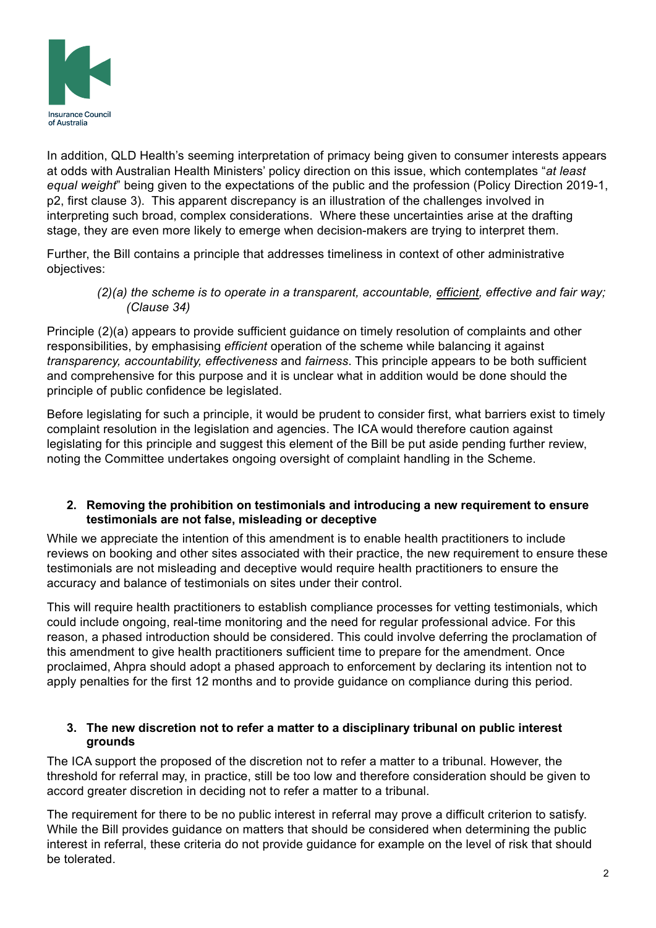

In addition, QLD Health's seeming interpretation of primacy being given to consumer interests appears at odds with Australian Health Ministers' policy direction on this issue, which contemplates "*at least equal weight*" being given to the expectations of the public and the profession (Policy Direction 2019-1, p2, first clause 3). This apparent discrepancy is an illustration of the challenges involved in interpreting such broad, complex considerations. Where these uncertainties arise at the drafting stage, they are even more likely to emerge when decision-makers are trying to interpret them.

Further, the Bill contains a principle that addresses timeliness in context of other administrative objectives:

 *(2)(a) the scheme is to operate in a transparent, accountable, efficient, effective and fair way; (Clause 34)*

Principle (2)(a) appears to provide sufficient guidance on timely resolution of complaints and other responsibilities, by emphasising *efficient* operation of the scheme while balancing it against *transparency, accountability, effectiveness* and *fairness*. This principle appears to be both sufficient and comprehensive for this purpose and it is unclear what in addition would be done should the principle of public confidence be legislated.

Before legislating for such a principle, it would be prudent to consider first, what barriers exist to timely complaint resolution in the legislation and agencies. The ICA would therefore caution against legislating for this principle and suggest this element of the Bill be put aside pending further review, noting the Committee undertakes ongoing oversight of complaint handling in the Scheme.

## **2. Removing the prohibition on testimonials and introducing a new requirement to ensure testimonials are not false, misleading or deceptive**

While we appreciate the intention of this amendment is to enable health practitioners to include reviews on booking and other sites associated with their practice, the new requirement to ensure these testimonials are not misleading and deceptive would require health practitioners to ensure the accuracy and balance of testimonials on sites under their control.

This will require health practitioners to establish compliance processes for vetting testimonials, which could include ongoing, real-time monitoring and the need for regular professional advice. For this reason, a phased introduction should be considered. This could involve deferring the proclamation of this amendment to give health practitioners sufficient time to prepare for the amendment. Once proclaimed, Ahpra should adopt a phased approach to enforcement by declaring its intention not to apply penalties for the first 12 months and to provide guidance on compliance during this period.

## **3. The new discretion not to refer a matter to a disciplinary tribunal on public interest grounds**

The ICA support the proposed of the discretion not to refer a matter to a tribunal. However, the threshold for referral may, in practice, still be too low and therefore consideration should be given to accord greater discretion in deciding not to refer a matter to a tribunal.

The requirement for there to be no public interest in referral may prove a difficult criterion to satisfy. While the Bill provides guidance on matters that should be considered when determining the public interest in referral, these criteria do not provide guidance for example on the level of risk that should be tolerated.